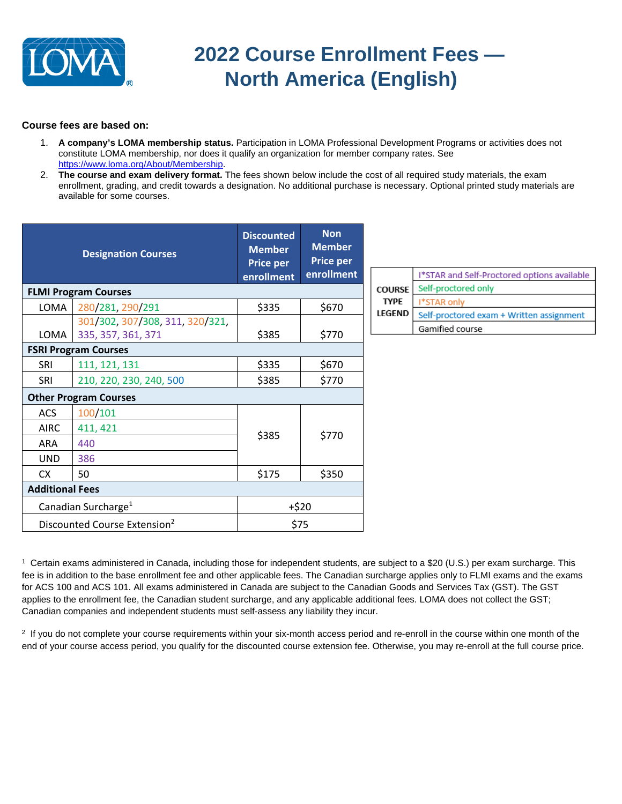

## **2022 Course Enrollment Fees — North America (English)**

## **Course fees are based on:**

- 1. **A company's LOMA membership status.** Participation in LOMA Professional Development Programs or activities does not constitute LOMA membership, nor does it qualify an organization for member company rates. See [https://www.loma.org/About/Membership.](https://www.loma.org/About/Membership)
- 2. **The course and exam delivery format.** The fees shown below include the cost of all required study materials, the exam enrollment, grading, and credit towards a designation. No additional purchase is necessary. Optional printed study materials are available for some courses.

| <b>Designation Courses</b>               |                                 | <b>Discounted</b><br><b>Member</b><br><b>Price per</b><br>enrollment | <b>Non</b><br><b>Member</b><br><b>Price per</b><br>enrollment |               | I*STAR and Self-Proctored options available |
|------------------------------------------|---------------------------------|----------------------------------------------------------------------|---------------------------------------------------------------|---------------|---------------------------------------------|
|                                          | <b>FLMI Program Courses</b>     |                                                                      |                                                               | <b>COURSE</b> | Self-proctored only                         |
| LOMA                                     | 280/281, 290/291                | \$335                                                                | \$670                                                         | <b>TYPE</b>   | I*STAR only                                 |
|                                          | 301/302, 307/308, 311, 320/321, |                                                                      |                                                               | <b>LEGEND</b> | Self-proctored exam + Written assignment    |
| LOMA                                     | 335, 357, 361, 371              | \$385                                                                | \$770                                                         |               | Gamified course                             |
|                                          | <b>FSRI Program Courses</b>     |                                                                      |                                                               |               |                                             |
| <b>SRI</b>                               | 111, 121, 131                   | \$335                                                                | \$670                                                         |               |                                             |
| SRI                                      | 210, 220, 230, 240, 500         | \$385                                                                | \$770                                                         |               |                                             |
| <b>Other Program Courses</b>             |                                 |                                                                      |                                                               |               |                                             |
| <b>ACS</b>                               | 100/101                         |                                                                      |                                                               |               |                                             |
| <b>AIRC</b>                              | 411, 421                        | \$385                                                                | \$770                                                         |               |                                             |
| ARA                                      | 440                             |                                                                      |                                                               |               |                                             |
| <b>UND</b>                               | 386                             |                                                                      |                                                               |               |                                             |
| CX.                                      | 50                              | \$175                                                                | \$350                                                         |               |                                             |
| <b>Additional Fees</b>                   |                                 |                                                                      |                                                               |               |                                             |
| Canadian Surcharge <sup>1</sup>          |                                 | $+ $20$                                                              |                                                               |               |                                             |
| Discounted Course Extension <sup>2</sup> |                                 | \$75                                                                 |                                                               |               |                                             |

1 Certain exams administered in Canada, including those for independent students, are subject to a \$20 (U.S.) per exam surcharge. This fee is in addition to the base enrollment fee and other applicable fees. The Canadian surcharge applies only to FLMI exams and the exams for ACS 100 and ACS 101. All exams administered in Canada are subject to the Canadian Goods and Services Tax (GST). The GST applies to the enrollment fee, the Canadian student surcharge, and any applicable additional fees. LOMA does not collect the GST; Canadian companies and independent students must self-assess any liability they incur.

<sup>2</sup> If you do not complete your course requirements within your six-month access period and re-enroll in the course within one month of the end of your course access period, you qualify for the discounted course extension fee. Otherwise, you may re-enroll at the full course price.